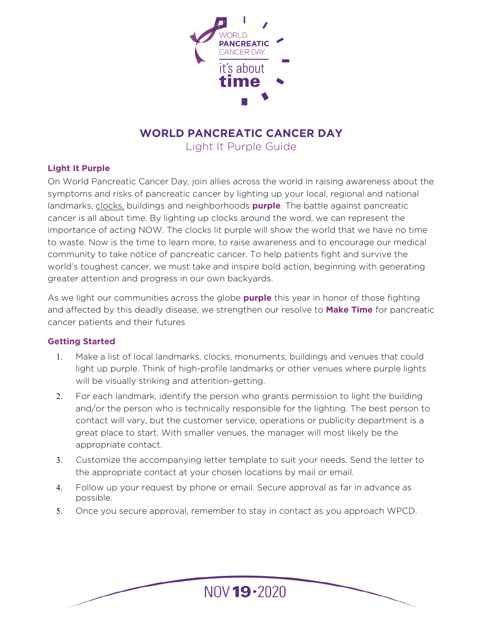

# **WORLD PANCREATIC CANCER DAY**

Light It Purple Guide

#### **Light It Purple**

On World Pancreatic Cancer Day, join allies across the world in raising awareness about the symptoms and risks of pancreatic cancer by lighting up your local, regional and national landmarks, [clocks,](https://en.wikipedia.org/wiki/List_of_clock_towers#Switzerland) buildings and neighborhoods **purple**. The battle against pancreatic cancer is all about time. By lighting up clocks around the word, we can represent the importance of acting NOW. The clocks lit purple will show the world that we have no time to waste. Now is the time to learn more, to raise awareness and to encourage our medical community to take notice of pancreatic cancer. To help patients fight and survive the world's toughest cancer, we must take and inspire bold action, beginning with generating greater attention and progress in our own backyards.

As we light our communities across the globe **purple** this year in honor of those fighting and affected by this deadly disease, we strengthen our resolve to **Make Time** for pancreatic cancer patients and their futures.

#### **Getting Started**

- 1. Make a list of local landmarks, clocks, monuments, buildings and venues that could light up purple. Think of high-profile landmarks or other venues where purple lights will be visually striking and attention-getting.
- 2. For each landmark, identify the person who grants permission to light the building and/or the person who is technically responsible for the lighting. The best person to contact will vary, but the customer service, operations or publicity department is a great place to start. With smaller venues, the manager will most likely be the appropriate contact.
- 3. Customize the accompanying letter template to suit your needs. Send the letter to the appropriate contact at your chosen locations by mail or email.
- 4. Follow up your request by phone or email. Secure approval as far in advance as possible.
- 5. Once you secure approval, remember to stay in contact as you approach WPCD.